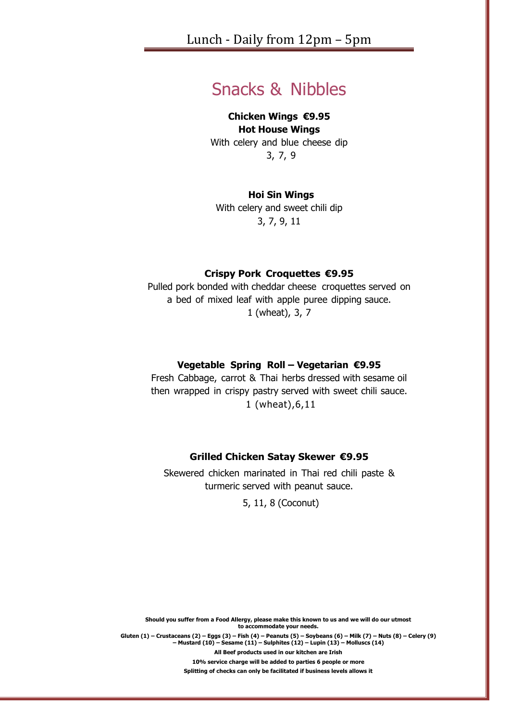# Snacks & Nibbles

#### **Chicken Wings €9.95 Hot House Wings**

With celery and blue cheese dip 3, 7, 9

### **Hoi Sin Wings**

With celery and sweet chili dip 3, 7, 9, 11

### **Crispy Pork Croquettes €9.95**

Pulled pork bonded with cheddar cheese croquettes served on a bed of mixed leaf with apple puree dipping sauce. 1 (wheat), 3, 7

# **Vegetable Spring Roll – Vegetarian €9.95**

Fresh Cabbage, carrot & Thai herbs dressed with sesame oil then wrapped in crispy pastry served with sweet chili sauce. 1 (wheat),6,11

#### **Grilled Chicken Satay Skewer €9.95**

Skewered chicken marinated in Thai red chili paste & turmeric served with peanut sauce.

5, 11, 8 (Coconut)

**Should you suffer from a Food Allergy, please make this known to us and we will do our utmost to accommodate your needs.** Gluten (1) – Crustaceans (2) – Eggs (3) – Fish (4) – Peanuts (5) – Soybeans (6) – Milk (7) – Nuts (8) – Celery (9)<br>— Mustard (10) – Sesame (11) – Sulphites (12) – Lupin (13) – Molluscs (14) **All Beef products used in our kitchen are Irish**

**10% service charge will be added to parties 6 people or more**

**Splitting of checks can only be facilitated if business levels allows it**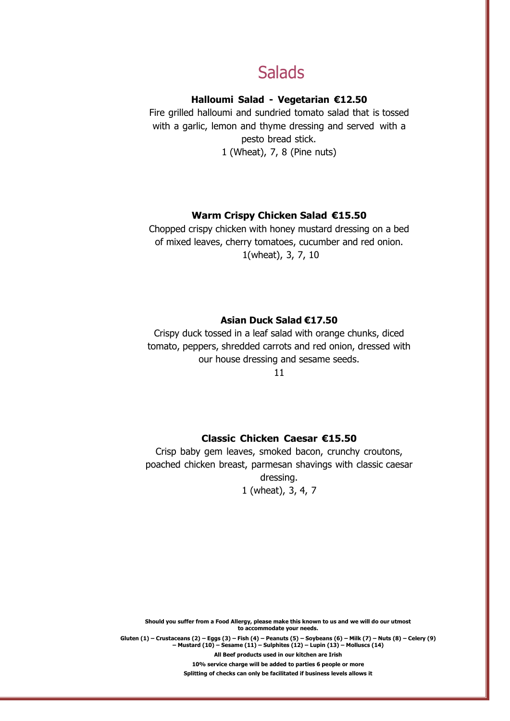# **Salads**

# **Halloumi Salad - Vegetarian €12.50**

Fire grilled halloumi and sundried tomato salad that is tossed with a garlic, lemon and thyme dressing and served with a pesto bread stick. 1 (Wheat), 7, 8 (Pine nuts)

### **Warm Crispy Chicken Salad €15.50**

Chopped crispy chicken with honey mustard dressing on a bed of mixed leaves, cherry tomatoes, cucumber and red onion. 1(wheat), 3, 7, 10

#### **Asian Duck Salad €17.50**

Crispy duck tossed in a leaf salad with orange chunks, diced tomato, peppers, shredded carrots and red onion, dressed with our house dressing and sesame seeds.

11

### **Classic Chicken Caesar €15.50**

Crisp baby gem leaves, smoked bacon, crunchy croutons, poached chicken breast, parmesan shavings with classic caesar dressing. 1 (wheat), 3, 4, 7

**Should you suffer from a Food Allergy, please make this known to us and we will do our utmost to accommodate your needs.** Gluten (1) - Crustaceans (2) - Eggs (3) - Fish (4) - Peanuts (5) - Soybeans (6) - Milk (7) - Nuts (8) - Celery (9) **– Mustard (10) – Sesame (11) – Sulphites (12) – Lupin (13) – Molluscs (14)**

> **All Beef products used in our kitchen are Irish 10% service charge will be added to parties 6 people or more Splitting of checks can only be facilitated if business levels allows it**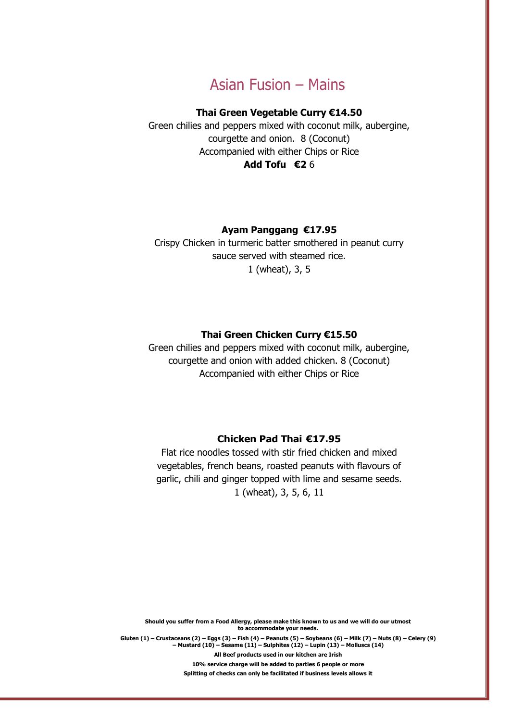# Asian Fusion – Mains

### **Thai Green Vegetable Curry €14.50**

Green chilies and peppers mixed with coconut milk, aubergine, courgette and onion. 8 (Coconut) Accompanied with either Chips or Rice **Add Tofu €2** 6

#### **Ayam Panggang €17.95**

Crispy Chicken in turmeric batter smothered in peanut curry sauce served with steamed rice. 1 (wheat), 3, 5

#### **Thai Green Chicken Curry €15.50**

Green chilies and peppers mixed with coconut milk, aubergine, courgette and onion with added chicken. 8 (Coconut) Accompanied with either Chips or Rice

#### **Chicken Pad Thai €17.95**

Flat rice noodles tossed with stir fried chicken and mixed vegetables, french beans, roasted peanuts with flavours of garlic, chili and ginger topped with lime and sesame seeds. 1 (wheat), 3, 5, 6, 11

**Should you suffer from a Food Allergy, please make this known to us and we will do our utmost to accommodate your needs.** Gluten  $(1)$  – Crustaceans  $(2)$  – Eggs  $(3)$  – Fish  $(4)$  – Peanuts  $(5)$  – Soybeans  $(6)$  – Milk  $(7)$  – Nuts  $(8)$  – Celery  $(9)$ **– Mustard (10) – Sesame (11) – Sulphites (12) – Lupin (13) – Molluscs (14) All Beef products used in our kitchen are Irish**

> **10% service charge will be added to parties 6 people or more Splitting of checks can only be facilitated if business levels allows it**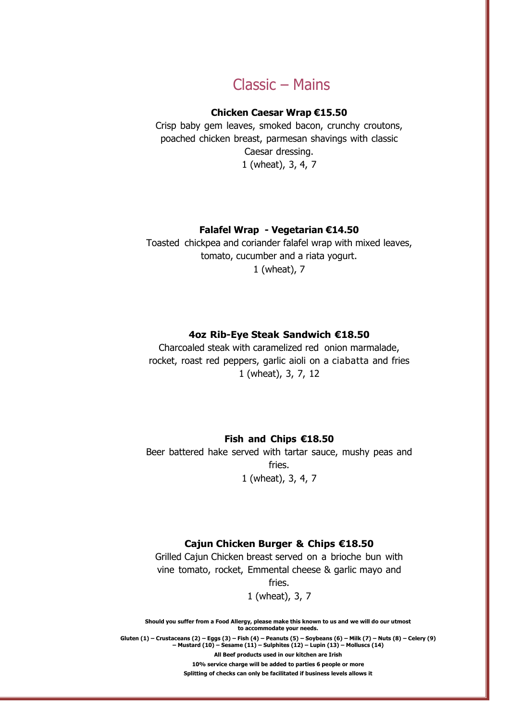# Classic – Mains

### **Chicken Caesar Wrap €15.50**

Crisp baby gem leaves, smoked bacon, crunchy croutons, poached chicken breast, parmesan shavings with classic Caesar dressing. 1 (wheat), 3, 4, 7

#### **Falafel Wrap - Vegetarian €14.50**

Toasted chickpea and coriander falafel wrap with mixed leaves, tomato, cucumber and a riata yogurt. 1 (wheat), 7

#### **4oz Rib-Eye Steak Sandwich €18.50**

Charcoaled steak with caramelized red onion marmalade, rocket, roast red peppers, garlic aioli on a ciabatta and fries 1 (wheat), 3, 7, 12

**Fish and Chips €18.50**

Beer battered hake served with tartar sauce, mushy peas and fries. 1 (wheat), 3, 4, 7

#### **Cajun Chicken Burger & Chips €18.50**

Grilled Cajun Chicken breast served on a brioche bun with vine tomato, rocket, Emmental cheese & garlic mayo and fries.

1 (wheat), 3, 7

**Should you suffer from a Food Allergy, please make this known to us and we will do our utmost to accommodate your needs.**

Gluten  $(1)$  – Crustaceans  $(2)$  – Eggs  $(3)$  – Fish  $(4)$  – Peanuts  $(5)$  – Soybeans  $(6)$  – Milk  $(7)$  – Nuts  $(8)$  – Celery  $(9)$ **– Mustard (10) – Sesame (11) – Sulphites (12) – Lupin (13) – Molluscs (14)**

**All Beef products used in our kitchen are Irish 10% service charge will be added to parties 6 people or more Splitting of checks can only be facilitated if business levels allows it**